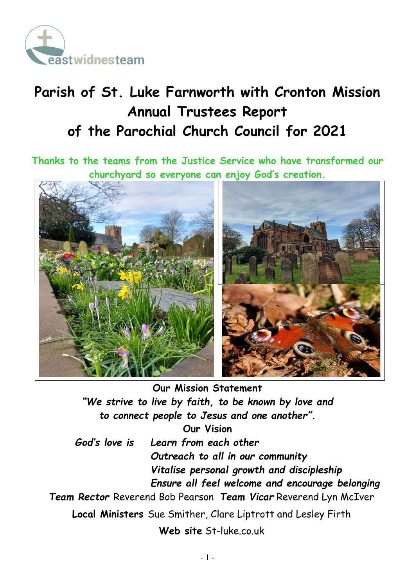

# Parish of St. Luke Farnworth with Cronton Mission Annual Trustees Report of the Parochial Church Council for 2021

Thanks to the teams from the Justice Service who have transformed our churchyard so everyone can enjoy God's creation.



Our Mission Statement "We strive to live by faith, to be known by love and to connect people to Jesus and one another". Our Vision God's love is Learn from each other Outreach to all in our community Vitalise personal growth and discipleship Ensure all feel welcome and encourage belonging Team Rector Reverend Bob Pearson Team Vicar Reverend Lyn McIver Local Ministers Sue Smither, Clare Liptrott and Lesley Firth Web site St-luke.co.uk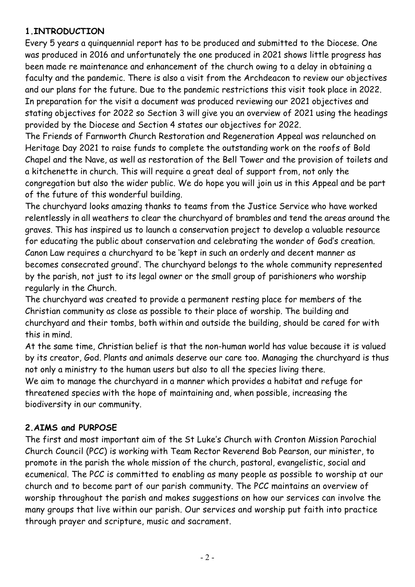#### 1.INTRODUCTION

Every 5 years a quinquennial report has to be produced and submitted to the Diocese. One was produced in 2016 and unfortunately the one produced in 2021 shows little progress has been made re maintenance and enhancement of the church owing to a delay in obtaining a faculty and the pandemic. There is also a visit from the Archdeacon to review our objectives and our plans for the future. Due to the pandemic restrictions this visit took place in 2022. In preparation for the visit a document was produced reviewing our 2021 objectives and stating objectives for 2022 so Section 3 will give you an overview of 2021 using the headings provided by the Diocese and Section 4 states our objectives for 2022.

The Friends of Farnworth Church Restoration and Regeneration Appeal was relaunched on Heritage Day 2021 to raise funds to complete the outstanding work on the roofs of Bold Chapel and the Nave, as well as restoration of the Bell Tower and the provision of toilets and a kitchenette in church. This will require a great deal of support from, not only the congregation but also the wider public. We do hope you will join us in this Appeal and be part of the future of this wonderful building.

The churchyard looks amazing thanks to teams from the Justice Service who have worked relentlessly in all weathers to clear the churchyard of brambles and tend the areas around the graves. This has inspired us to launch a conservation project to develop a valuable resource for educating the public about conservation and celebrating the wonder of God's creation. Canon Law requires a churchyard to be 'kept in such an orderly and decent manner as becomes consecrated ground'. The churchyard belongs to the whole community represented by the parish, not just to its legal owner or the small group of parishioners who worship regularly in the Church.

The churchyard was created to provide a permanent resting place for members of the Christian community as close as possible to their place of worship. The building and churchyard and their tombs, both within and outside the building, should be cared for with this in mind.

At the same time, Christian belief is that the non-human world has value because it is valued by its creator, God. Plants and animals deserve our care too. Managing the churchyard is thus not only a ministry to the human users but also to all the species living there. We aim to manage the churchyard in a manner which provides a habitat and refuge for threatened species with the hope of maintaining and, when possible, increasing the biodiversity in our community.

#### 2.AIMS and PURPOSE

The first and most important aim of the St Luke's Church with Cronton Mission Parochial Church Council (PCC) is working with Team Rector Reverend Bob Pearson, our minister, to promote in the parish the whole mission of the church, pastoral, evangelistic, social and ecumenical. The PCC is committed to enabling as many people as possible to worship at our church and to become part of our parish community. The PCC maintains an overview of worship throughout the parish and makes suggestions on how our services can involve the many groups that live within our parish. Our services and worship put faith into practice through prayer and scripture, music and sacrament.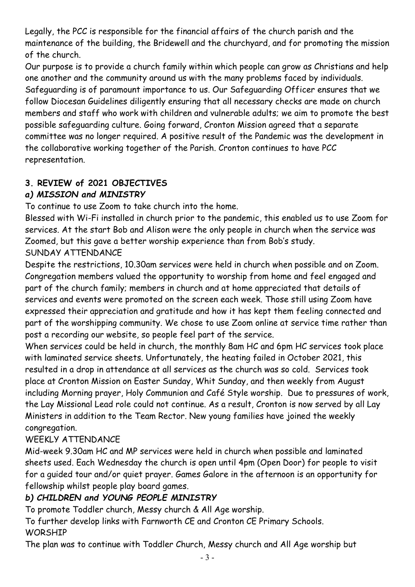Legally, the PCC is responsible for the financial affairs of the church parish and the maintenance of the building, the Bridewell and the churchyard, and for promoting the mission of the church.

Our purpose is to provide a church family within which people can grow as Christians and help one another and the community around us with the many problems faced by individuals. Safeguarding is of paramount importance to us. Our Safeguarding Officer ensures that we follow Diocesan Guidelines diligently ensuring that all necessary checks are made on church members and staff who work with children and vulnerable adults; we aim to promote the best possible safeguarding culture. Going forward, Cronton Mission agreed that a separate committee was no longer required. A positive result of the Pandemic was the development in the collaborative working together of the Parish. Cronton continues to have PCC representation.

# 3. REVIEW of 2021 OBJECTIVES

# a) MISSION and MINISTRY

To continue to use Zoom to take church into the home.

Blessed with Wi-Fi installed in church prior to the pandemic, this enabled us to use Zoom for services. At the start Bob and Alison were the only people in church when the service was Zoomed, but this gave a better worship experience than from Bob's study.

# SUNDAY ATTENDANCE

Despite the restrictions, 10.30am services were held in church when possible and on Zoom. Congregation members valued the opportunity to worship from home and feel engaged and part of the church family; members in church and at home appreciated that details of services and events were promoted on the screen each week. Those still using Zoom have expressed their appreciation and gratitude and how it has kept them feeling connected and part of the worshipping community. We chose to use Zoom online at service time rather than post a recording our website, so people feel part of the service.

When services could be held in church, the monthly 8am HC and 6pm HC services took place with laminated service sheets. Unfortunately, the heating failed in October 2021, this resulted in a drop in attendance at all services as the church was so cold. Services took place at Cronton Mission on Easter Sunday, Whit Sunday, and then weekly from August including Morning prayer, Holy Communion and Café Style worship. Due to pressures of work, the Lay Missional Lead role could not continue. As a result, Cronton is now served by all Lay Ministers in addition to the Team Rector. New young families have joined the weekly congregation.

# WEEKLY ATTENDANCE

Mid-week 9.30am HC and MP services were held in church when possible and laminated sheets used. Each Wednesday the church is open until 4pm (Open Door) for people to visit for a guided tour and/or quiet prayer. Games Galore in the afternoon is an opportunity for fellowship whilst people play board games.

# b) CHILDREN and YOUNG PEOPLE MINISTRY

To promote Toddler church, Messy church & All Age worship.

To further develop links with Farnworth CE and Cronton CE Primary Schools.

# WORSHIP

The plan was to continue with Toddler Church, Messy church and All Age worship but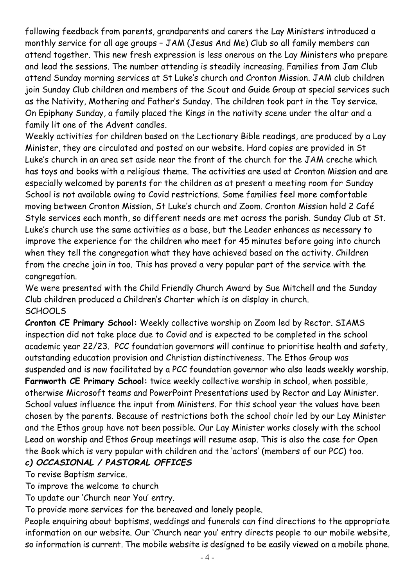following feedback from parents, grandparents and carers the Lay Ministers introduced a monthly service for all age groups – JAM (Jesus And Me) Club so all family members can attend together. This new fresh expression is less onerous on the Lay Ministers who prepare and lead the sessions. The number attending is steadily increasing. Families from Jam Club attend Sunday morning services at St Luke's church and Cronton Mission. JAM club children join Sunday Club children and members of the Scout and Guide Group at special services such as the Nativity, Mothering and Father's Sunday. The children took part in the Toy service. On Epiphany Sunday, a family placed the Kings in the nativity scene under the altar and a family lit one of the Advent candles.

Weekly activities for children based on the Lectionary Bible readings, are produced by a Lay Minister, they are circulated and posted on our website. Hard copies are provided in St Luke's church in an area set aside near the front of the church for the JAM creche which has toys and books with a religious theme. The activities are used at Cronton Mission and are especially welcomed by parents for the children as at present a meeting room for Sunday School is not available owing to Covid restrictions. Some families feel more comfortable moving between Cronton Mission, St Luke's church and Zoom. Cronton Mission hold 2 Café Style services each month, so different needs are met across the parish. Sunday Club at St. Luke's church use the same activities as a base, but the Leader enhances as necessary to improve the experience for the children who meet for 45 minutes before going into church when they tell the congregation what they have achieved based on the activity. Children from the creche join in too. This has proved a very popular part of the service with the congregation.

We were presented with the Child Friendly Church Award by Sue Mitchell and the Sunday Club children produced a Children's Charter which is on display in church. **SCHOOLS** 

Cronton CE Primary School: Weekly collective worship on Zoom led by Rector. SIAMS inspection did not take place due to Covid and is expected to be completed in the school academic year 22/23. PCC foundation governors will continue to prioritise health and safety, outstanding education provision and Christian distinctiveness. The Ethos Group was suspended and is now facilitated by a PCC foundation governor who also leads weekly worship. Farnworth CE Primary School: twice weekly collective worship in school, when possible, otherwise Microsoft teams and PowerPoint Presentations used by Rector and Lay Minister. School values influence the input from Ministers. For this school year the values have been chosen by the parents. Because of restrictions both the school choir led by our Lay Minister and the Ethos group have not been possible. Our Lay Minister works closely with the school Lead on worship and Ethos Group meetings will resume asap. This is also the case for Open the Book which is very popular with children and the 'actors' (members of our PCC) too. c) OCCASIONAL / PASTORAL OFFICES

To revise Baptism service.

To improve the welcome to church

To update our 'Church near You' entry.

To provide more services for the bereaved and lonely people.

People enquiring about baptisms, weddings and funerals can find directions to the appropriate information on our website. Our 'Church near you' entry directs people to our mobile website, so information is current. The mobile website is designed to be easily viewed on a mobile phone.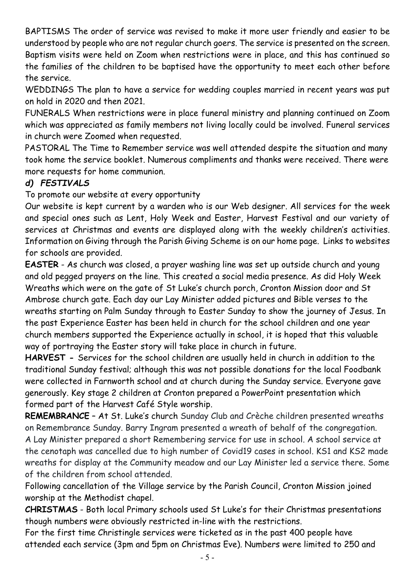BAPTISMS The order of service was revised to make it more user friendly and easier to be understood by people who are not regular church goers. The service is presented on the screen. Baptism visits were held on Zoom when restrictions were in place, and this has continued so the families of the children to be baptised have the opportunity to meet each other before the service.

WEDDINGS The plan to have a service for wedding couples married in recent years was put on hold in 2020 and then 2021.

FUNERALS When restrictions were in place funeral ministry and planning continued on Zoom which was appreciated as family members not living locally could be involved. Funeral services in church were Zoomed when requested.

PASTORAL The Time to Remember service was well attended despite the situation and many took home the service booklet. Numerous compliments and thanks were received. There were more requests for home communion.

### d) FESTIVALS

To promote our website at every opportunity

Our website is kept current by a warden who is our Web designer. All services for the week and special ones such as Lent, Holy Week and Easter, Harvest Festival and our variety of services at Christmas and events are displayed along with the weekly children's activities. Information on Giving through the Parish Giving Scheme is on our home page. Links to websites for schools are provided.

EASTER - As church was closed, a prayer washing line was set up outside church and young and old pegged prayers on the line. This created a social media presence. As did Holy Week Wreaths which were on the gate of St Luke's church porch, Cronton Mission door and St Ambrose church gate. Each day our Lay Minister added pictures and Bible verses to the wreaths starting on Palm Sunday through to Easter Sunday to show the journey of Jesus. In the past Experience Easter has been held in church for the school children and one year church members supported the Experience actually in school, it is hoped that this valuable way of portraying the Easter story will take place in church in future.

HARVEST - Services for the school children are usually held in church in addition to the traditional Sunday festival; although this was not possible donations for the local Foodbank were collected in Farnworth school and at church during the Sunday service. Everyone gave generously. Key stage 2 children at Cronton prepared a PowerPoint presentation which formed part of the Harvest Café Style worship.

REMEMBRANCE – At St. Luke's church Sunday Club and Crèche children presented wreaths on Remembrance Sunday. Barry Ingram presented a wreath of behalf of the congregation. A Lay Minister prepared a short Remembering service for use in school. A school service at the cenotaph was cancelled due to high number of Covid19 cases in school. KS1 and KS2 made wreaths for display at the Community meadow and our Lay Minister led a service there. Some of the children from school attended.

Following cancellation of the Village service by the Parish Council, Cronton Mission joined worship at the Methodist chapel.

CHRISTMAS - Both local Primary schools used St Luke's for their Christmas presentations though numbers were obviously restricted in-line with the restrictions.

For the first time Christingle services were ticketed as in the past 400 people have attended each service (3pm and 5pm on Christmas Eve). Numbers were limited to 250 and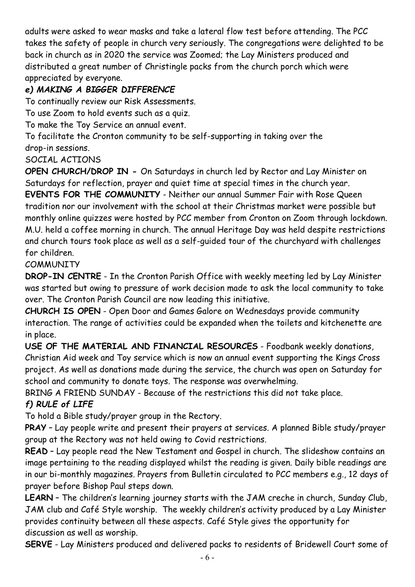adults were asked to wear masks and take a lateral flow test before attending. The PCC takes the safety of people in church very seriously. The congregations were delighted to be back in church as in 2020 the service was Zoomed; the Lay Ministers produced and distributed a great number of Christingle packs from the church porch which were appreciated by everyone.

# e) MAKING A BIGGER DIFFERENCE

To continually review our Risk Assessments.

To use Zoom to hold events such as a quiz.

To make the Toy Service an annual event.

To facilitate the Cronton community to be self-supporting in taking over the drop-in sessions.

SOCIAL ACTIONS

OPEN CHURCH/DROP IN - On Saturdays in church led by Rector and Lay Minister on Saturdays for reflection, prayer and quiet time at special times in the church year. EVENTS FOR THE COMMUNITY - Neither our annual Summer Fair with Rose Queen

tradition nor our involvement with the school at their Christmas market were possible but monthly online quizzes were hosted by PCC member from Cronton on Zoom through lockdown. M.U. held a coffee morning in church. The annual Heritage Day was held despite restrictions and church tours took place as well as a self-guided tour of the churchyard with challenges for children.

#### **COMMUNITY**

DROP-IN CENTRE - In the Cronton Parish Office with weekly meeting led by Lay Minister was started but owing to pressure of work decision made to ask the local community to take over. The Cronton Parish Council are now leading this initiative.

CHURCH IS OPEN - Open Door and Games Galore on Wednesdays provide community interaction. The range of activities could be expanded when the toilets and kitchenette are in place.

USE OF THE MATERIAL AND FINANCIAL RESOURCES - Foodbank weekly donations, Christian Aid week and Toy service which is now an annual event supporting the Kings Cross project. As well as donations made during the service, the church was open on Saturday for school and community to donate toys. The response was overwhelming.

BRING A FRIEND SUNDAY - Because of the restrictions this did not take place.

### f) RULE of LIFE

To hold a Bible study/prayer group in the Rectory.

PRAY – Lay people write and present their prayers at services. A planned Bible study/prayer group at the Rectory was not held owing to Covid restrictions.

READ – Lay people read the New Testament and Gospel in church. The slideshow contains an image pertaining to the reading displayed whilst the reading is given. Daily bible readings are in our bi-monthly magazines. Prayers from Bulletin circulated to PCC members e.g., 12 days of prayer before Bishop Paul steps down.

LEARN – The children's learning journey starts with the JAM creche in church, Sunday Club, JAM club and Café Style worship. The weekly children's activity produced by a Lay Minister provides continuity between all these aspects. Café Style gives the opportunity for discussion as well as worship.

SERVE - Lay Ministers produced and delivered packs to residents of Bridewell Court some of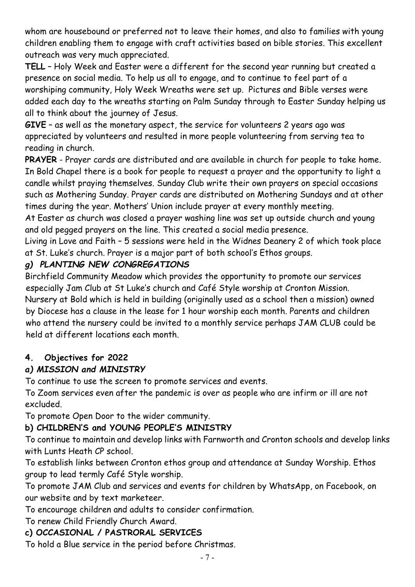whom are housebound or preferred not to leave their homes, and also to families with young children enabling them to engage with craft activities based on bible stories. This excellent outreach was very much appreciated.

TELL – Holy Week and Easter were a different for the second year running but created a presence on social media. To help us all to engage, and to continue to feel part of a worshiping community, Holy Week Wreaths were set up. Pictures and Bible verses were added each day to the wreaths starting on Palm Sunday through to Easter Sunday helping us all to think about the journey of Jesus.

GIVE – as well as the monetary aspect, the service for volunteers 2 years ago was appreciated by volunteers and resulted in more people volunteering from serving tea to reading in church.

PRAYER - Prayer cards are distributed and are available in church for people to take home. In Bold Chapel there is a book for people to request a prayer and the opportunity to light a candle whilst praying themselves. Sunday Club write their own prayers on special occasions such as Mothering Sunday. Prayer cards are distributed on Mothering Sundays and at other times during the year. Mothers' Union include prayer at every monthly meeting.

At Easter as church was closed a prayer washing line was set up outside church and young and old pegged prayers on the line. This created a social media presence.

Living in Love and Faith – 5 sessions were held in the Widnes Deanery 2 of which took place at St. Luke's church. Prayer is a major part of both school's Ethos groups.

#### g) PLANTING NEW CONGREGATIONS

Birchfield Community Meadow which provides the opportunity to promote our services especially Jam Club at St Luke's church and Café Style worship at Cronton Mission. Nursery at Bold which is held in building (originally used as a school then a mission) owned by Diocese has a clause in the lease for 1 hour worship each month. Parents and children who attend the nursery could be invited to a monthly service perhaps JAM CLUB could be held at different locations each month.

### 4. Objectives for 2022

### a) MISSION and MINISTRY

To continue to use the screen to promote services and events.

To Zoom services even after the pandemic is over as people who are infirm or ill are not excluded.

To promote Open Door to the wider community.

### b) CHILDREN'S and YOUNG PEOPLE'S MINISTRY

To continue to maintain and develop links with Farnworth and Cronton schools and develop links with Lunts Heath CP school.

To establish links between Cronton ethos group and attendance at Sunday Worship. Ethos group to lead termly Café Style worship.

To promote JAM Club and services and events for children by WhatsApp, on Facebook, on our website and by text marketeer.

To encourage children and adults to consider confirmation.

To renew Child Friendly Church Award.

### c) OCCASIONAL / PASTRORAL SERVICES

To hold a Blue service in the period before Christmas.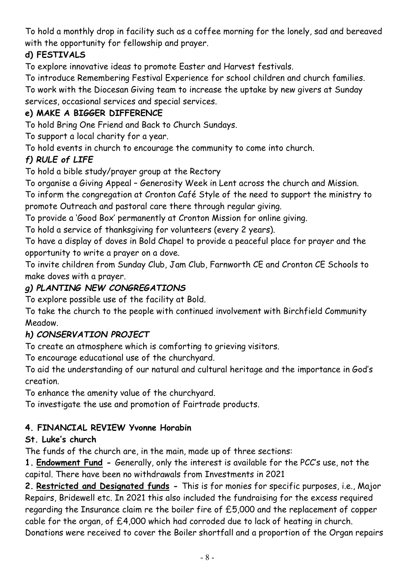To hold a monthly drop in facility such as a coffee morning for the lonely, sad and bereaved with the opportunity for fellowship and prayer.

# d) FESTIVALS

To explore innovative ideas to promote Easter and Harvest festivals.

To introduce Remembering Festival Experience for school children and church families.

To work with the Diocesan Giving team to increase the uptake by new givers at Sunday services, occasional services and special services.

# e) MAKE A BIGGER DIFFERENCE

To hold Bring One Friend and Back to Church Sundays.

To support a local charity for a year.

To hold events in church to encourage the community to come into church.

# f) RULE of LIFE

To hold a bible study/prayer group at the Rectory

To organise a Giving Appeal – Generosity Week in Lent across the church and Mission.

To inform the congregation at Cronton Café Style of the need to support the ministry to promote Outreach and pastoral care there through regular giving.

To provide a 'Good Box' permanently at Cronton Mission for online giving.

To hold a service of thanksgiving for volunteers (every 2 years).

To have a display of doves in Bold Chapel to provide a peaceful place for prayer and the opportunity to write a prayer on a dove.

To invite children from Sunday Club, Jam Club, Farnworth CE and Cronton CE Schools to make doves with a prayer.

# g) PLANTING NEW CONGREGATIONS

To explore possible use of the facility at Bold.

To take the church to the people with continued involvement with Birchfield Community Meadow.

### h) CONSERVATION PROJECT

To create an atmosphere which is comforting to grieving visitors.

To encourage educational use of the churchyard.

To aid the understanding of our natural and cultural heritage and the importance in God's creation.

To enhance the amenity value of the churchyard.

To investigate the use and promotion of Fairtrade products.

### 4. FINANCIAL REVIEW Yvonne Horabin

### St. Luke's church

The funds of the church are, in the main, made up of three sections:

1. Endowment Fund - Generally, only the interest is available for the PCC's use, not the capital. There have been no withdrawals from Investments in 2021

2. Restricted and Designated funds - This is for monies for specific purposes, i.e., Major Repairs, Bridewell etc. In 2021 this also included the fundraising for the excess required regarding the Insurance claim re the boiler fire of £5,000 and the replacement of copper cable for the organ, of £4,000 which had corroded due to lack of heating in church. Donations were received to cover the Boiler shortfall and a proportion of the Organ repairs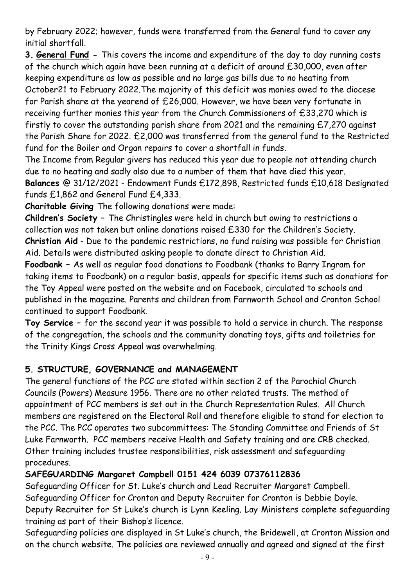by February 2022; however, funds were transferred from the General fund to cover any initial shortfall.

3. General Fund - This covers the income and expenditure of the day to day running costs of the church which again have been running at a deficit of around £30,000, even after keeping expenditure as low as possible and no large gas bills due to no heating from October21 to February 2022.The majority of this deficit was monies owed to the diocese for Parish share at the yearend of £26,000. However, we have been very fortunate in receiving further monies this year from the Church Commissioners of £33,270 which is firstly to cover the outstanding parish share from 2021 and the remaining £7,270 against the Parish Share for 2022. £2,000 was transferred from the general fund to the Restricted fund for the Boiler and Organ repairs to cover a shortfall in funds.

The Income from Regular givers has reduced this year due to people not attending church due to no heating and sadly also due to a number of them that have died this year. Balances @ 31/12/2021 - Endowment Funds £172,898, Restricted funds £10,618 Designated funds £1,862 and General Fund £4,333.

Charitable Giving The following donations were made:

Children's Society – The Christingles were held in church but owing to restrictions a collection was not taken but online donations raised £330 for the Children's Society. Christian Aid - Due to the pandemic restrictions, no fund raising was possible for Christian Aid. Details were distributed asking people to donate direct to Christian Aid.

Foodbank – As well as regular food donations to Foodbank (thanks to Barry Ingram for taking items to Foodbank) on a regular basis, appeals for specific items such as donations for the Toy Appeal were posted on the website and on Facebook, circulated to schools and published in the magazine. Parents and children from Farnworth School and Cronton School continued to support Foodbank.

Toy Service – for the second year it was possible to hold a service in church. The response of the congregation, the schools and the community donating toys, gifts and toiletries for the Trinity Kings Cross Appeal was overwhelming.

### 5. STRUCTURE, GOVERNANCE and MANAGEMENT

The general functions of the PCC are stated within section 2 of the Parochial Church Councils (Powers) Measure 1956. There are no other related trusts. The method of appointment of PCC members is set out in the Church Representation Rules. All Church members are registered on the Electoral Roll and therefore eligible to stand for election to the PCC. The PCC operates two subcommittees: The Standing Committee and Friends of St Luke Farnworth. PCC members receive Health and Safety training and are CRB checked. Other training includes trustee responsibilities, risk assessment and safeguarding procedures.

#### SAFEGUARDING Margaret Campbell 0151 424 6039 07376112836

Safeguarding Officer for St. Luke's church and Lead Recruiter Margaret Campbell. Safeguarding Officer for Cronton and Deputy Recruiter for Cronton is Debbie Doyle. Deputy Recruiter for St Luke's church is Lynn Keeling. Lay Ministers complete safeguarding training as part of their Bishop's licence.

Safeguarding policies are displayed in St Luke's church, the Bridewell, at Cronton Mission and on the church website. The policies are reviewed annually and agreed and signed at the first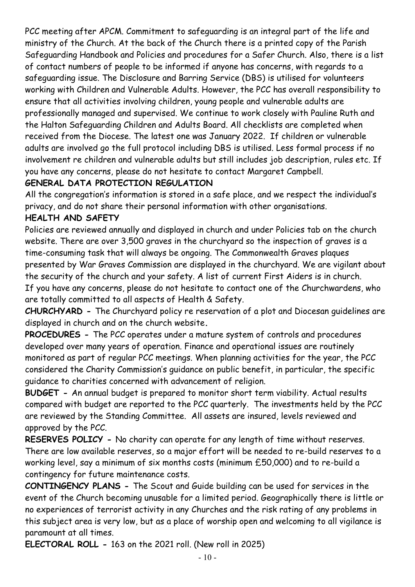PCC meeting after APCM. Commitment to safeguarding is an integral part of the life and ministry of the Church. At the back of the Church there is a printed copy of the Parish Safeguarding Handbook and Policies and procedures for a Safer Church. Also, there is a list of contact numbers of people to be informed if anyone has concerns, with regards to a safeguarding issue. The Disclosure and Barring Service (DBS) is utilised for volunteers working with Children and Vulnerable Adults. However, the PCC has overall responsibility to ensure that all activities involving children, young people and vulnerable adults are professionally managed and supervised. We continue to work closely with Pauline Ruth and the Halton Safeguarding Children and Adults Board. All checklists are completed when received from the Diocese. The latest one was January 2022. If children or vulnerable adults are involved go the full protocol including DBS is utilised. Less formal process if no involvement re children and vulnerable adults but still includes job description, rules etc. If you have any concerns, please do not hesitate to contact Margaret Campbell.

#### GENERAL DATA PROTECTION REGULATION

All the congregation's information is stored in a safe place, and we respect the individual's privacy, and do not share their personal information with other organisations.

#### HEALTH AND SAFETY

Policies are reviewed annually and displayed in church and under Policies tab on the church website. There are over 3,500 graves in the churchyard so the inspection of graves is a time-consuming task that will always be ongoing. The Commonwealth Graves plaques presented by War Graves Commission are displayed in the churchyard. We are vigilant about the security of the church and your safety. A list of current First Aiders is in church. If you have any concerns, please do not hesitate to contact one of the Churchwardens, who are totally committed to all aspects of Health & Safety.

CHURCHYARD - The Churchyard policy re reservation of a plot and Diocesan guidelines are displayed in church and on the church website.

PROCEDURES - The PCC operates under a mature system of controls and procedures developed over many years of operation. Finance and operational issues are routinely monitored as part of regular PCC meetings. When planning activities for the year, the PCC considered the Charity Commission's guidance on public benefit, in particular, the specific guidance to charities concerned with advancement of religion.

BUDGET - An annual budget is prepared to monitor short term viability. Actual results compared with budget are reported to the PCC quarterly. The investments held by the PCC are reviewed by the Standing Committee. All assets are insured, levels reviewed and approved by the PCC.

RESERVES POLICY - No charity can operate for any length of time without reserves. There are low available reserves, so a major effort will be needed to re-build reserves to a working level, say a minimum of six months costs (minimum £50,000) and to re-build a contingency for future maintenance costs.

CONTINGENCY PLANS - The Scout and Guide building can be used for services in the event of the Church becoming unusable for a limited period. Geographically there is little or no experiences of terrorist activity in any Churches and the risk rating of any problems in this subject area is very low, but as a place of worship open and welcoming to all vigilance is paramount at all times.

ELECTORAL ROLL - 163 on the 2021 roll. (New roll in 2025)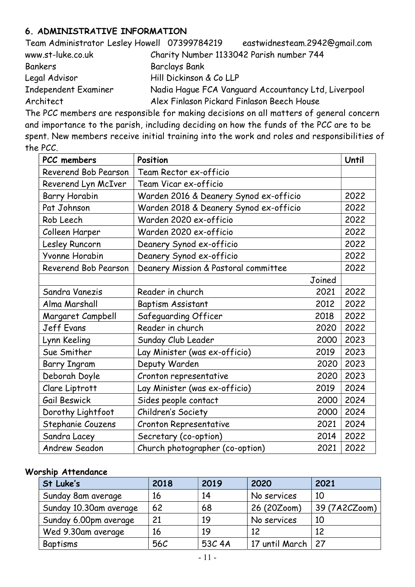#### 6. ADMINISTRATIVE INFORMATION

| Team Administrator Lesley Howell 07399784219 |                                            | eastwidnesteam.2942@gmail.com                       |
|----------------------------------------------|--------------------------------------------|-----------------------------------------------------|
| www.st-luke.co.uk                            | Charity Number 1133042 Parish number 744   |                                                     |
| Bankers                                      | <b>Barclays Bank</b>                       |                                                     |
| Legal Advisor                                | Hill Dickinson & Co LLP                    |                                                     |
| Independent Examiner                         |                                            | Nadia Hague FCA Vanguard Accountancy Ltd, Liverpool |
| Architect                                    | Alex Finlason Pickard Finlason Beech House |                                                     |

The PCC members are responsible for making decisions on all matters of general concern and importance to the parish, including deciding on how the funds of the PCC are to be spent. New members receive initial training into the work and roles and responsibilities of the PCC.

| PCC members          | Position                               |        | Until |
|----------------------|----------------------------------------|--------|-------|
| Reverend Bob Pearson | Team Rector ex-officio                 |        |       |
| Reverend Lyn McIver  | Team Vicar ex-officio                  |        |       |
| <b>Barry Horabin</b> | Warden 2016 & Deanery Synod ex-officio |        | 2022  |
| Pat Johnson          | Warden 2018 & Deanery Synod ex-officio |        | 2022  |
| Rob Leech            | Warden 2020 ex-officio                 |        | 2022  |
| Colleen Harper       | Warden 2020 ex-officio                 |        | 2022  |
| Lesley Runcorn       | Deanery Synod ex-officio               |        | 2022  |
| Yvonne Horabin       | Deanery Synod ex-officio               |        | 2022  |
| Reverend Bob Pearson | Deanery Mission & Pastoral committee   |        | 2022  |
|                      |                                        | Joined |       |
| Sandra Vanezis       | Reader in church                       | 2021   | 2022  |
| Alma Marshall        | <b>Baptism Assistant</b>               | 2012   | 2022  |
| Margaret Campbell    | Safeguarding Officer                   | 2018   | 2022  |
| Jeff Evans           | Reader in church                       | 2020   | 2022  |
| Lynn Keeling         | Sunday Club Leader                     | 2000   | 2023  |
| Sue Smither          | Lay Minister (was ex-officio)          | 2019   | 2023  |
| <b>Barry Ingram</b>  | Deputy Warden                          | 2020   | 2023  |
| Deborah Doyle        | Cronton representative                 | 2020   | 2023  |
| Clare Liptrott       | Lay Minister (was ex-officio)          | 2019   | 2024  |
| Gail Beswick         | Sides people contact                   | 2000   | 2024  |
| Dorothy Lightfoot    | Children's Society                     | 2000   | 2024  |
| Stephanie Couzens    | Cronton Representative                 | 2021   | 2024  |
| Sandra Lacey         | Secretary (co-option)                  | 2014   | 2022  |
| <b>Andrew Seadon</b> | Church photographer (co-option)        | 2021   | 2022  |

#### Worship Attendance

| St Luke's              | 2018 | 2019   | 2020           | 2021          |
|------------------------|------|--------|----------------|---------------|
| Sunday 8am average     | 16   | 14     | No services    | 10            |
| Sunday 10.30am average | 62   | 68     | 26 (20Zoom)    | 39 (7A2CZoom) |
| Sunday 6.00pm average  | 21   | 19     | No services    | 10            |
| Wed 9.30am average     | 16   | 19     | 12             | 12            |
| Baptisms               | 56C  | 53C 4A | 17 until March | 27            |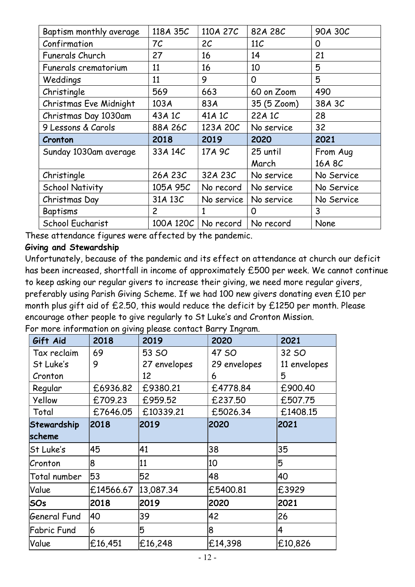| Baptism monthly average | 118A 35C       | 110A 27C       | 82A 28C     | 90A 30C    |
|-------------------------|----------------|----------------|-------------|------------|
| Confirmation            | 7 <sup>C</sup> | 2 <sub>C</sub> | 11C         | 0          |
| Funerals Church         | 27             | 16             | 14          | 21         |
| Funerals crematorium    | 11             | 16             | 10          | 5          |
| Weddings                | 11             | 9              | $\Omega$    | 5          |
| Christingle             | 569            | 663            | 60 on Zoom  | 490        |
| Christmas Eve Midnight  | 103A           | 83A            | 35 (5 Zoom) | 38A 3C     |
| Christmas Day 1030am    | 43A 1C         | 41A 1C         | 22A 1C      | 28         |
| 9 Lessons & Carols      | 88A 26C        | 123A 20C       | No service  | 32         |
| Cronton                 | 2018           | 2019           | 2020        | 2021       |
| Sunday 1030am average   | 33A 14C        | 17A 9C         | 25 until    | From Aug   |
|                         |                |                | March       | 16A 8C     |
| Christingle             | 26A 23C        | 32A 23C        | No service  | No Service |
| <b>School Nativity</b>  | 105A 95C       | No record      | No service  | No Service |
| Christmas Day           | 31A 13C        | No service     | No service  | No Service |
| Baptisms                | $\overline{c}$ | 1              | O           | 3          |
| School Eucharist        | 100A 120C      | No record      | No record   | None       |

These attendance figures were affected by the pandemic.

#### Giving and Stewardship

Unfortunately, because of the pandemic and its effect on attendance at church our deficit has been increased, shortfall in income of approximately £500 per week. We cannot continue to keep asking our regular givers to increase their giving, we need more regular givers, preferably using Parish Giving Scheme. If we had 100 new givers donating even £10 per month plus gift aid of £2.50, this would reduce the deficit by £1250 per month. Please encourage other people to give regularly to St Luke's and Cronton Mission.

For more information on giving please contact Barry Ingram.

| Gift Aid     | 2018      | 2019         | 2020         | 2021         |  |
|--------------|-----------|--------------|--------------|--------------|--|
| Tax reclaim  | 69        | 53 SO        | 47 SO        | 32 SO        |  |
| St Luke's    | 9         | 27 envelopes | 29 envelopes | 11 envelopes |  |
| Cronton      |           | 12           | 6            | 5            |  |
| Regular      | £6936.82  | £9380.21     | £4778.84     | £900.40      |  |
| Yellow       | £709.23   | £959.52      | £237.50      | £507.75      |  |
| Total        | £7646.05  | £10339.21    | £5026.34     | £1408.15     |  |
| Stewardship  | 2018      | 2019         | 2020         | 2021         |  |
| scheme       |           |              |              |              |  |
| St Luke's    | 45        | 41           | 38           | 35           |  |
| Cronton      | 8         | 11           | 10           | 5            |  |
| Total number | 53        | 52           | 48           | 40           |  |
| Value        | £14566.67 | 13,087.34    | £5400.81     | £3929        |  |
| <b>SOs</b>   | 2018      | 2019         | 2020         | 2021         |  |
| General Fund | 40        | 39           | 42           | 26           |  |
| Fabric Fund  | 6         | 5            | 8            | 4            |  |
| Value        | £16,451   | £16,248      | £14,398      | £10,826      |  |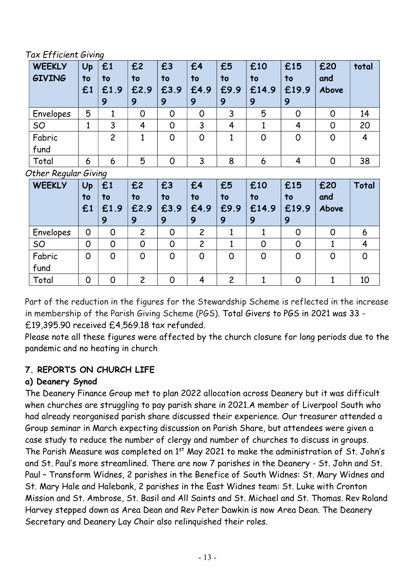Tax Efficient Giving

| <b>WEEKLY</b><br><b>GIVING</b> | Up<br>to<br>£1       | £1<br>to<br>£1.9<br>9 | £2<br>to<br>£2.9<br>9 | £3<br>to<br>£3.9<br>9 | £4<br>to<br>£4.9<br>9 | £5<br>to<br>£9.9<br>9 | £10<br>to<br>£14.9<br>9 | £15<br>to<br>£19.9<br>9 | £20<br>and<br>Above | total        |
|--------------------------------|----------------------|-----------------------|-----------------------|-----------------------|-----------------------|-----------------------|-------------------------|-------------------------|---------------------|--------------|
| Envelopes                      | 5                    | $\mathbf{1}$          | $\overline{0}$        | $\overline{0}$        | $\overline{O}$        | 3                     | 5                       | $\Omega$                | $\overline{O}$      | 14           |
| SO                             | 1                    | 3                     | 4                     | $\overline{0}$        | 3                     | 4                     | 1                       | 4                       | $\overline{O}$      | 20           |
| Fabric<br>fund                 |                      | $\overline{c}$        | $\mathbf{1}$          | $\overline{0}$        | $\overline{0}$        | $\mathbf{1}$          | $\overline{0}$          | $\overline{0}$          | $\overline{0}$      | 4            |
| Total                          | 6                    | 6                     | 5                     | $\overline{0}$        | 3                     | 8                     | 6                       | 4                       | 0                   | 38           |
|                                | Other Regular Giving |                       |                       |                       |                       |                       |                         |                         |                     |              |
| <b>WEEKLY</b>                  | Up<br>to<br>£1       | £1<br>to<br>£1.9<br>9 | £2<br>to<br>£2.9<br>9 | £3<br>to<br>£3.9<br>9 | £4<br>to<br>£4.9<br>9 | £5<br>to<br>£9.9<br>9 | £10<br>to<br>£14.9<br>9 | £15<br>to<br>£19.9<br>9 | £20<br>and<br>Above | Total        |
| Envelopes                      | 0                    | $\overline{0}$        | $\overline{c}$        | $\Omega$              | $\overline{c}$        | 1                     | $\mathbf{1}$            | $\overline{0}$          | $\overline{0}$      | 6            |
| SO                             | $\overline{0}$       | $\overline{0}$        | $\overline{0}$        | $\Omega$              | $\overline{c}$        | $\mathbf{1}$          | $\overline{0}$          | $\overline{0}$          | 1                   | 4            |
| Fabric                         | 0                    | $\overline{O}$        | 0                     | $\overline{0}$        | $\mathsf{O}$          | $\overline{O}$        | $\mathsf{O}$            | $\mathsf{O}$            | $\overline{O}$      | $\mathsf{O}$ |

Part of the reduction in the figures for the Stewardship Scheme is reflected in the increase in membership of the Parish Giving Scheme (PGS). Total Givers to PGS in 2021 was 33 - £19,395.90 received £4,569.18 tax refunded.

Total | 0 | 0 | 2 | 0 | 4 | 2 | 1 | 0 | 1 | 10

Please note all these figures were affected by the church closure for long periods due to the pandemic and no heating in church

# 7. REPORTS ON CHURCH LIFE

### a) Deanery Synod

fund

The Deanery Finance Group met to plan 2022 allocation across Deanery but it was difficult when churches are struggling to pay parish share in 2021.A member of Liverpool South who had already reorganised parish share discussed their experience. Our treasurer attended a Group seminar in March expecting discussion on Parish Share, but attendees were given a case study to reduce the number of clergy and number of churches to discuss in groups. The Parish Measure was completed on 1<sup>st</sup> May 2021 to make the administration of St. John's and St. Paul's more streamlined. There are now 7 parishes in the Deanery - St. John and St. Paul – Transform Widnes, 2 parishes in the Benefice of South Widnes: St. Mary Widnes and St. Mary Hale and Halebank, 2 parishes in the East Widnes team: St. Luke with Cronton Mission and St. Ambrose, St. Basil and All Saints and St. Michael and St. Thomas. Rev Roland Harvey stepped down as Area Dean and Rev Peter Dawkin is now Area Dean. The Deanery Secretary and Deanery Lay Chair also relinquished their roles.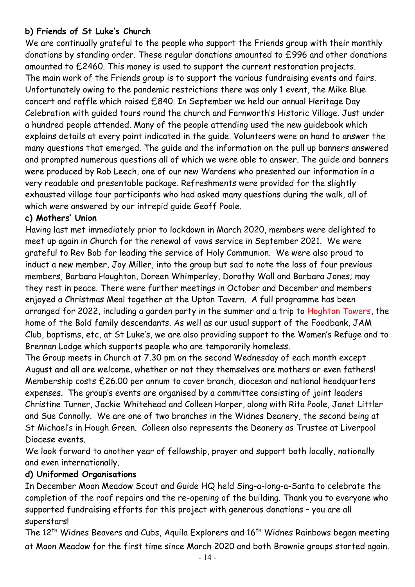#### b) Friends of St Luke's Church

We are continually grateful to the people who support the Friends group with their monthly donations by standing order. These regular donations amounted to £996 and other donations amounted to £2460. This money is used to support the current restoration projects. The main work of the Friends group is to support the various fundraising events and fairs. Unfortunately owing to the pandemic restrictions there was only 1 event, the Mike Blue concert and raffle which raised £840. In September we held our annual Heritage Day Celebration with guided tours round the church and Farnworth's Historic Village. Just under a hundred people attended. Many of the people attending used the new guidebook which explains details at every point indicated in the guide. Volunteers were on hand to answer the many questions that emerged. The guide and the information on the pull up banners answered and prompted numerous questions all of which we were able to answer. The guide and banners were produced by Rob Leech, one of our new Wardens who presented our information in a very readable and presentable package. Refreshments were provided for the slightly exhausted village tour participants who had asked many questions during the walk, all of which were answered by our intrepid guide Geoff Poole.

#### c) Mothers' Union

Having last met immediately prior to lockdown in March 2020, members were delighted to meet up again in Church for the renewal of vows service in September 2021. We were grateful to Rev Bob for leading the service of Holy Communion. We were also proud to induct a new member, Joy Miller, into the group but sad to note the loss of four previous members, Barbara Houghton, Doreen Whimperley, Dorothy Wall and Barbara Jones; may they rest in peace. There were further meetings in October and December and members enjoyed a Christmas Meal together at the Upton Tavern. A full programme has been arranged for 2022, including a garden party in the summer and a trip to Hoghton Towers, the home of the Bold family descendants. As well as our usual support of the Foodbank, JAM Club, baptisms, etc, at St Luke's, we are also providing support to the Women's Refuge and to Brennan Lodge which supports people who are temporarily homeless.

The Group meets in Church at 7.30 pm on the second Wednesday of each month except August and all are welcome, whether or not they themselves are mothers or even fathers! Membership costs £26.00 per annum to cover branch, diocesan and national headquarters expenses. The group's events are organised by a committee consisting of joint leaders Christine Turner, Jackie Whitehead and Colleen Harper, along with Rita Poole, Janet Littler and Sue Connolly. We are one of two branches in the Widnes Deanery, the second being at St Michael's in Hough Green. Colleen also represents the Deanery as Trustee at Liverpool Diocese events.

We look forward to another year of fellowship, prayer and support both locally, nationally and even internationally.

#### d) Uniformed Organisations

In December Moon Meadow Scout and Guide HQ held Sing-a-long-a-Santa to celebrate the completion of the roof repairs and the re-opening of the building. Thank you to everyone who supported fundraising efforts for this project with generous donations – you are all superstars!

The 12<sup>th</sup> Widnes Beavers and Cubs, Aquila Explorers and 16<sup>th</sup> Widnes Rainbows began meeting at Moon Meadow for the first time since March 2020 and both Brownie groups started again.